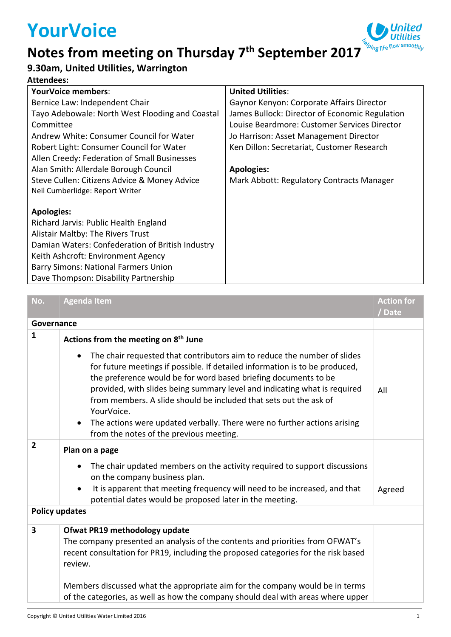## **YourVoice**

## **Notes from meeting on Thursday 7 th September 2017**





| No.                     | <b>Agenda Item</b>                                                                                                                                                                                                                                                                                                                                                                         | <b>Action for</b><br>/ Date |  |  |
|-------------------------|--------------------------------------------------------------------------------------------------------------------------------------------------------------------------------------------------------------------------------------------------------------------------------------------------------------------------------------------------------------------------------------------|-----------------------------|--|--|
| Governance              |                                                                                                                                                                                                                                                                                                                                                                                            |                             |  |  |
| $\mathbf{1}$            | Actions from the meeting on 8 <sup>th</sup> June                                                                                                                                                                                                                                                                                                                                           |                             |  |  |
|                         | The chair requested that contributors aim to reduce the number of slides<br>for future meetings if possible. If detailed information is to be produced,<br>the preference would be for word based briefing documents to be<br>provided, with slides being summary level and indicating what is required<br>from members. A slide should be included that sets out the ask of<br>YourVoice. | All                         |  |  |
|                         | The actions were updated verbally. There were no further actions arising<br>from the notes of the previous meeting.                                                                                                                                                                                                                                                                        |                             |  |  |
| $\overline{2}$          | Plan on a page                                                                                                                                                                                                                                                                                                                                                                             |                             |  |  |
|                         | The chair updated members on the activity required to support discussions<br>on the company business plan.                                                                                                                                                                                                                                                                                 |                             |  |  |
|                         | It is apparent that meeting frequency will need to be increased, and that<br>potential dates would be proposed later in the meeting.                                                                                                                                                                                                                                                       | Agreed                      |  |  |
| <b>Policy updates</b>   |                                                                                                                                                                                                                                                                                                                                                                                            |                             |  |  |
| $\overline{\mathbf{3}}$ | Ofwat PR19 methodology update<br>The company presented an analysis of the contents and priorities from OFWAT's<br>recent consultation for PR19, including the proposed categories for the risk based<br>review.                                                                                                                                                                            |                             |  |  |
|                         | Members discussed what the appropriate aim for the company would be in terms<br>of the categories, as well as how the company should deal with areas where upper                                                                                                                                                                                                                           |                             |  |  |

*ping* life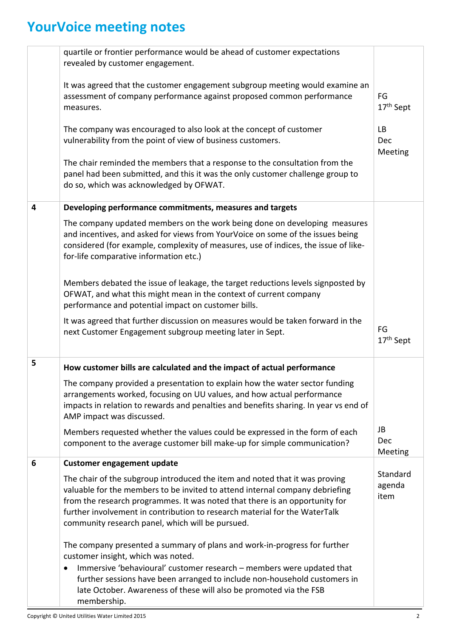## **YourVoice meeting notes**

|   | quartile or frontier performance would be ahead of customer expectations<br>revealed by customer engagement.                                                                                                                                                                                                                                                                 |                             |
|---|------------------------------------------------------------------------------------------------------------------------------------------------------------------------------------------------------------------------------------------------------------------------------------------------------------------------------------------------------------------------------|-----------------------------|
|   | It was agreed that the customer engagement subgroup meeting would examine an<br>assessment of company performance against proposed common performance<br>measures.                                                                                                                                                                                                           | FG<br>17 <sup>th</sup> Sept |
|   | The company was encouraged to also look at the concept of customer<br>vulnerability from the point of view of business customers.                                                                                                                                                                                                                                            | <b>LB</b><br>Dec<br>Meeting |
|   | The chair reminded the members that a response to the consultation from the<br>panel had been submitted, and this it was the only customer challenge group to<br>do so, which was acknowledged by OFWAT.                                                                                                                                                                     |                             |
| 4 | Developing performance commitments, measures and targets                                                                                                                                                                                                                                                                                                                     |                             |
|   | The company updated members on the work being done on developing measures<br>and incentives, and asked for views from YourVoice on some of the issues being<br>considered (for example, complexity of measures, use of indices, the issue of like-<br>for-life comparative information etc.)                                                                                 |                             |
|   | Members debated the issue of leakage, the target reductions levels signposted by<br>OFWAT, and what this might mean in the context of current company<br>performance and potential impact on customer bills.                                                                                                                                                                 |                             |
|   | It was agreed that further discussion on measures would be taken forward in the<br>next Customer Engagement subgroup meeting later in Sept.                                                                                                                                                                                                                                  | FG<br>17 <sup>th</sup> Sept |
| 5 | How customer bills are calculated and the impact of actual performance                                                                                                                                                                                                                                                                                                       |                             |
|   | The company provided a presentation to explain how the water sector funding<br>arrangements worked, focusing on UU values, and how actual performance<br>impacts in relation to rewards and penalties and benefits sharing. In year vs end of<br>AMP impact was discussed.                                                                                                   |                             |
|   | Members requested whether the values could be expressed in the form of each<br>component to the average customer bill make-up for simple communication?                                                                                                                                                                                                                      | JB<br>Dec<br>Meeting        |
| 6 | <b>Customer engagement update</b>                                                                                                                                                                                                                                                                                                                                            |                             |
|   | The chair of the subgroup introduced the item and noted that it was proving<br>valuable for the members to be invited to attend internal company debriefing<br>from the research programmes. It was noted that there is an opportunity for<br>further involvement in contribution to research material for the WaterTalk<br>community research panel, which will be pursued. | Standard<br>agenda<br>item  |
|   | The company presented a summary of plans and work-in-progress for further<br>customer insight, which was noted.                                                                                                                                                                                                                                                              |                             |
|   | Immersive 'behavioural' customer research - members were updated that<br>further sessions have been arranged to include non-household customers in<br>late October. Awareness of these will also be promoted via the FSB<br>membership.                                                                                                                                      |                             |